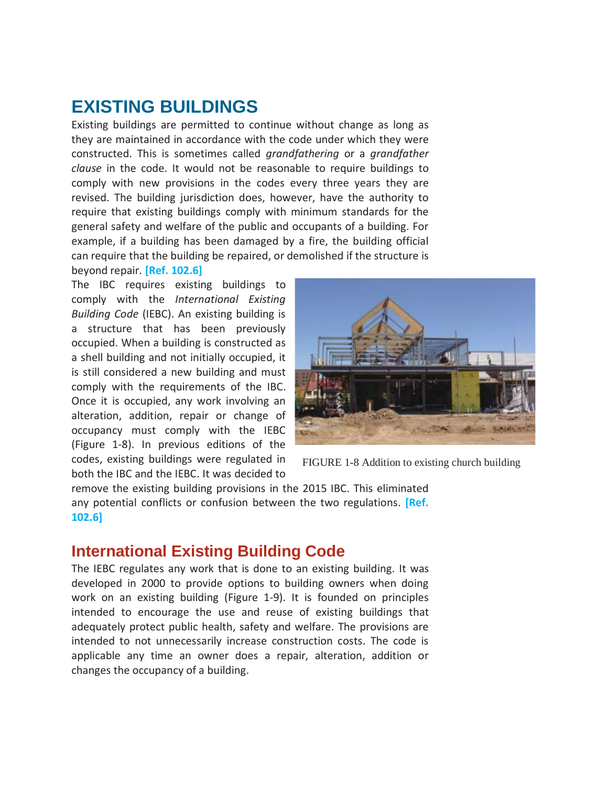## **EXISTING BUILDINGS**

Existing buildings are permitted to continue without change as long as they are maintained in accordance with the code under which they were constructed. This is sometimes called *grandfathering* or a *grandfather clause* in the code. It would not be reasonable to require buildings to comply with new provisions in the codes every three years they are revised. The building jurisdiction does, however, have the authority to require that existing buildings comply with minimum standards for the general safety and welfare of the public and occupants of a building. For example, if a building has been damaged by a fire, the building official can require that the building be repaired, or demolished if the structure is beyond repair. **[Ref. 102.6]**

The IBC requires existing buildings to comply with the *International Existing Building Code* (IEBC). An existing building is a structure that has been previously occupied. When a building is constructed as a shell building and not initially occupied, it is still considered a new building and must comply with the requirements of the IBC. Once it is occupied, any work involving an alteration, addition, repair or change of occupancy must comply with the IEBC (Figure 1-8). In previous editions of the codes, existing buildings were regulated in both the IBC and the IEBC. It was decided to



FIGURE 1-8 Addition to existing church building

remove the existing building provisions in the 2015 IBC. This eliminated any potential conflicts or confusion between the two regulations. **[Ref. 102.6]**

## **International Existing Building Code**

The IEBC regulates any work that is done to an existing building. It was developed in 2000 to provide options to building owners when doing work on an existing building (Figure 1-9). It is founded on principles intended to encourage the use and reuse of existing buildings that adequately protect public health, safety and welfare. The provisions are intended to not unnecessarily increase construction costs. The code is applicable any time an owner does a repair, alteration, addition or changes the occupancy of a building.